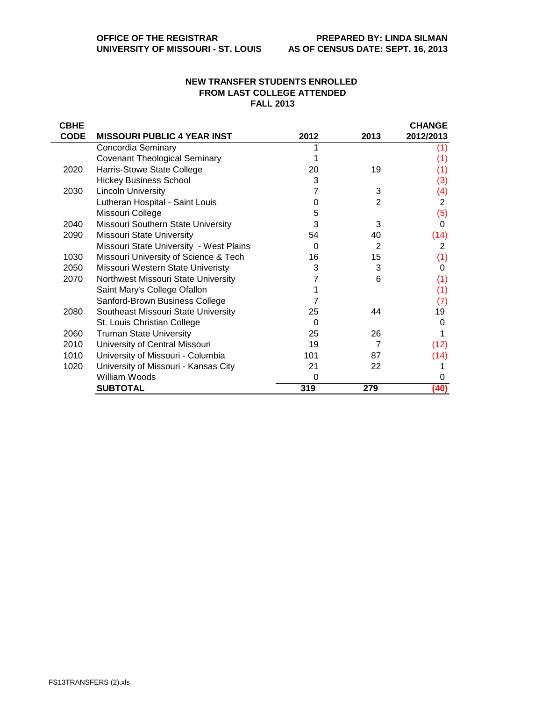## **NEW TRANSFER STUDENTS ENROLLED FROM LAST COLLEGE ATTENDED FALL 2013**

| <b>CBHE</b> |                                         |      |                | <b>CHANGE</b> |
|-------------|-----------------------------------------|------|----------------|---------------|
| <b>CODE</b> | <b>MISSOURI PUBLIC 4 YEAR INST</b>      | 2012 | 2013           | 2012/2013     |
|             | Concordia Seminary                      |      |                | (1)           |
|             | <b>Covenant Theological Seminary</b>    |      |                | (1)           |
| 2020        | Harris-Stowe State College              | 20   | 19             | (1)           |
|             | <b>Hickey Business School</b>           | 3    |                | (3)           |
| 2030        | <b>Lincoln University</b>               |      | 3              | (4)           |
|             | Lutheran Hospital - Saint Louis         | 0    | 2              | 2             |
|             | Missouri College                        | 5    |                | (5)           |
| 2040        | Missouri Southern State University      | 3    | 3              | 0             |
| 2090        | <b>Missouri State University</b>        | 54   | 40             | (14)          |
|             | Missouri State University - West Plains | 0    | $\overline{2}$ | 2             |
| 1030        | Missouri University of Science & Tech   | 16   | 15             | (1)           |
| 2050        | Missouri Western State Univeristy       | 3    | 3              | 0             |
| 2070        | Northwest Missouri State University     |      | 6              | (1)           |
|             | Saint Mary's College Ofallon            |      |                | (1)           |
|             | Sanford-Brown Business College          |      |                | (7)           |
| 2080        | Southeast Missouri State University     | 25   | 44             | 19            |
|             | St. Louis Christian College             | 0    |                | 0             |
| 2060        | <b>Truman State University</b>          | 25   | 26             |               |
| 2010        | University of Central Missouri          | 19   | 7              | (12)          |
| 1010        | University of Missouri - Columbia       | 101  | 87             | (14)          |
| 1020        | University of Missouri - Kansas City    | 21   | 22             |               |
|             | William Woods                           | 0    |                | 0             |
|             | <b>SUBTOTAL</b>                         | 319  | 279            | (40)          |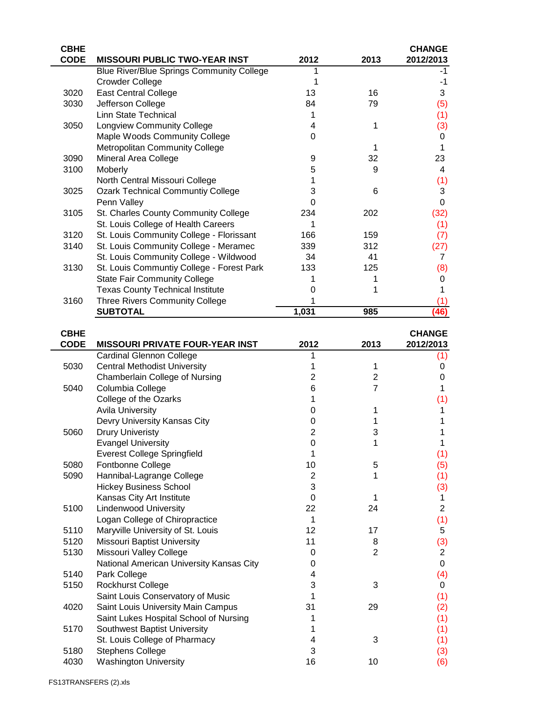| <b>CBHE</b>  |                                                         |                |                | <b>CHANGE</b>  |
|--------------|---------------------------------------------------------|----------------|----------------|----------------|
| <b>CODE</b>  | <b>MISSOURI PUBLIC TWO-YEAR INST</b>                    | 2012           | 2013           | 2012/2013      |
|              | <b>Blue River/Blue Springs Community College</b>        |                |                | -1             |
|              | <b>Crowder College</b>                                  | 1              |                | $-1$           |
| 3020         | <b>East Central College</b>                             | 13             | 16             | 3              |
| 3030         | Jefferson College                                       | 84             | 79             | (5)            |
|              | Linn State Technical                                    | 1              |                | (1)            |
| 3050         | <b>Longview Community College</b>                       | 4              | 1              | (3)            |
|              | Maple Woods Community College                           | 0              |                | 0              |
|              | Metropolitan Community College                          |                | 1              | 1              |
|              |                                                         |                |                |                |
| 3090         | Mineral Area College                                    | 9              | 32             | 23             |
| 3100         | Moberly                                                 | 5              | 9              | 4              |
|              | North Central Missouri College                          | 1              |                | (1)            |
| 3025         | <b>Ozark Technical Communtiy College</b>                | 3              | 6              | 3              |
|              | Penn Valley                                             | 0              |                | $\pmb{0}$      |
| 3105         | St. Charles County Community College                    | 234            | 202            | (32)           |
|              | St. Louis College of Health Careers                     | 1              |                | (1)            |
| 3120         | St. Louis Community College - Florissant                | 166            | 159            | (7)            |
| 3140         | St. Louis Community College - Meramec                   | 339            | 312            | (27)           |
|              | St. Louis Community College - Wildwood                  | 34             | 41             | 7              |
| 3130         | St. Louis Communtiy College - Forest Park               | 133            | 125            | (8)            |
|              | <b>State Fair Community College</b>                     | 1              | 1              | 0              |
|              | <b>Texas County Technical Institute</b>                 | 0              | 1              | 1              |
| 3160         | Three Rivers Community College                          |                |                | (1)            |
|              | <b>SUBTOTAL</b>                                         | 1,031          | 985            | (46)           |
|              |                                                         |                |                |                |
| <b>CBHE</b>  |                                                         |                |                | <b>CHANGE</b>  |
| <b>CODE</b>  | <b>MISSOURI PRIVATE FOUR-YEAR INST</b>                  | 2012           | 2013           | 2012/2013      |
|              | <b>Cardinal Glennon College</b>                         | 1              |                | (1)            |
|              |                                                         |                |                |                |
|              |                                                         |                |                |                |
| 5030         | <b>Central Methodist University</b>                     | 1              | 1              | 0              |
|              | Chamberlain College of Nursing                          | $\overline{2}$ | 2              | 0              |
| 5040         | Columbia College                                        | 6              | $\overline{7}$ | 1              |
|              | College of the Ozarks                                   | 1              |                | (1)            |
|              | <b>Avila University</b>                                 | 0              | 1              | 1              |
|              | Devry University Kansas City                            | 0              | 1              | 1              |
| 5060         | <b>Drury Univeristy</b>                                 | $\overline{2}$ | 3              | 1              |
|              | <b>Evangel University</b>                               | $\mathbf 0$    | 1              | 1              |
|              | <b>Everest College Springfield</b>                      | 1              |                | (1)            |
| 5080         | Fontbonne College                                       | 10             | 5              | (5)            |
| 5090         | Hannibal-Lagrange College                               | $\overline{2}$ | 1              | (1)            |
|              | <b>Hickey Business School</b>                           | 3              |                | (3)            |
|              | Kansas City Art Institute                               | 0              | 1              | 1              |
| 5100         | <b>Lindenwood University</b>                            | 22             | 24             | $\overline{2}$ |
|              | Logan College of Chiropractice                          | 1              |                | (1)            |
| 5110         | Maryville University of St. Louis                       | 12             | 17             | 5              |
| 5120         | <b>Missouri Baptist University</b>                      | 11             | 8              | (3)            |
| 5130         | Missouri Valley College                                 | 0              | $\overline{2}$ | $\overline{2}$ |
|              | National American University Kansas City                | 0              |                | $\mathbf 0$    |
| 5140         | Park College                                            | 4              |                |                |
| 5150         |                                                         | 3              | 3              | (4)<br>0       |
|              | <b>Rockhurst College</b>                                | 1              |                |                |
|              | Saint Louis Conservatory of Music                       |                |                | (1)            |
| 4020         | Saint Louis University Main Campus                      | 31             | 29             | (2)            |
|              | Saint Lukes Hospital School of Nursing                  | 1              |                | (1)            |
| 5170         | Southwest Baptist University                            | 1              |                | (1)            |
|              | St. Louis College of Pharmacy                           | 4              | 3              | (1)            |
| 5180<br>4030 | <b>Stephens College</b><br><b>Washington University</b> | 3<br>16        | 10             | (3)<br>(6)     |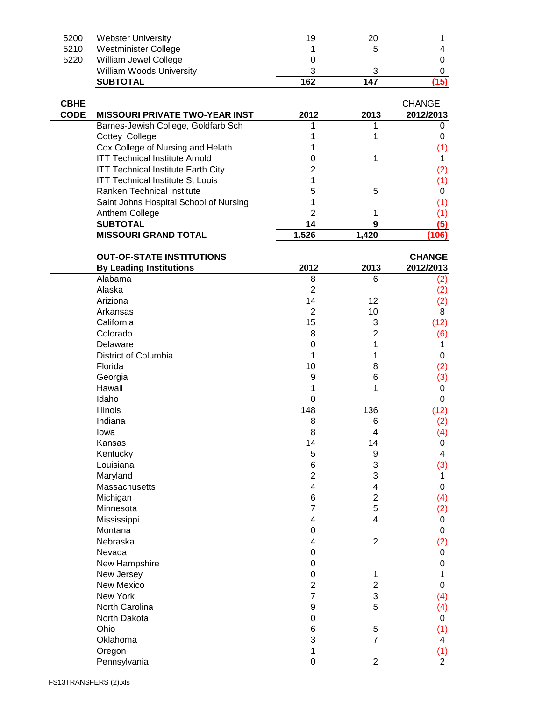| 5200        | <b>Webster University</b>                 | 19                  | 20             | 1              |
|-------------|-------------------------------------------|---------------------|----------------|----------------|
| 5210        | Westminister College                      | 1                   | 5              | 4              |
| 5220        | William Jewel College                     | 0                   |                | 0              |
|             | William Woods University                  | 3                   | 3              | 0              |
|             | <b>SUBTOTAL</b>                           | 162                 | 147            | (15)           |
|             |                                           |                     |                |                |
| <b>CBHE</b> |                                           |                     |                | <b>CHANGE</b>  |
| <b>CODE</b> | <b>MISSOURI PRIVATE TWO-YEAR INST</b>     | 2012                | 2013           | 2012/2013      |
|             | Barnes-Jewish College, Goldfarb Sch       | 1                   | 1              | 0              |
|             | Cottey College                            | 1                   | 1              | 0              |
|             | Cox College of Nursing and Helath         |                     |                | (1)            |
|             | <b>ITT Technical Institute Arnold</b>     | 0                   | 1              | 1.             |
|             | <b>ITT Technical Institute Earth City</b> | $\overline{c}$      |                |                |
|             | <b>ITT Technical Institute St Louis</b>   | 1                   |                | (2)            |
|             |                                           |                     |                | (1)            |
|             | Ranken Technical Institute                | 5                   | 5              | 0              |
|             | Saint Johns Hospital School of Nursing    | 1                   |                | (1)            |
|             | Anthem College                            | $\overline{2}$      | 1              | (1)            |
|             | <b>SUBTOTAL</b>                           | 14                  | $\overline{9}$ | (5)            |
|             | <b>MISSOURI GRAND TOTAL</b>               | 1,526               | 1,420          | (106)          |
|             |                                           |                     |                |                |
|             | <b>OUT-OF-STATE INSTITUTIONS</b>          |                     |                | <b>CHANGE</b>  |
|             | <b>By Leading Institutions</b><br>Alabama | 2012                | 2013<br>6      | 2012/2013      |
|             |                                           | 8<br>$\overline{2}$ |                | (2)            |
|             | Alaska                                    |                     |                | (2)            |
|             | Ariziona                                  | 14                  | 12             | (2)            |
|             | Arkansas                                  | $\overline{2}$      | 10             | 8              |
|             | California                                | 15                  | 3              | (12)           |
|             | Colorado                                  | 8                   | $\overline{2}$ | (6)            |
|             | Delaware                                  | $\mathbf 0$         | 1              | 1              |
|             | District of Columbia                      | 1                   | 1              | 0              |
|             | Florida                                   | 10                  | 8              | (2)            |
|             | Georgia                                   | 9                   | 6              | (3)            |
|             | Hawaii                                    | 1                   | 1              | 0              |
|             | Idaho                                     | 0                   |                | 0              |
|             | Illinois                                  | 148                 | 136            | (12)           |
|             | Indiana                                   | 8                   | 6              | (2)            |
|             | lowa                                      | 8                   | 4              | (4)            |
|             | Kansas                                    | 14                  | 14             | 0              |
|             | Kentucky                                  | 5                   | 9              | 4              |
|             | Louisiana                                 | 6                   | 3              | (3)            |
|             | Maryland                                  | $\overline{2}$      | 3              | 1              |
|             | Massachusetts                             | 4                   | 4              | 0              |
|             | Michigan                                  | 6                   | $\overline{c}$ | (4)            |
|             | Minnesota                                 | 7                   | 5              | (2)            |
|             | Mississippi                               | 4                   | 4              | 0              |
|             | Montana                                   | 0                   |                | 0              |
|             | Nebraska                                  | 4                   | $\overline{2}$ | (2)            |
|             | Nevada                                    | 0                   |                |                |
|             |                                           |                     |                | 0              |
|             | New Hampshire                             | 0                   |                | 0              |
|             | New Jersey                                | 0                   | 1              | 1              |
|             | New Mexico                                | $\overline{2}$      | $\overline{2}$ | 0              |
|             | New York                                  | $\overline{7}$      | 3              | (4)            |
|             | North Carolina                            | 9                   | 5              | (4)            |
|             | North Dakota                              | 0                   |                | 0              |
|             | Ohio                                      | 6                   | 5              | (1)            |
|             | Oklahoma                                  | 3                   | $\overline{7}$ | 4              |
|             | Oregon                                    | 1                   |                | (1)            |
|             | Pennsylvania                              | 0                   | $\overline{c}$ | $\overline{2}$ |
|             |                                           |                     |                |                |